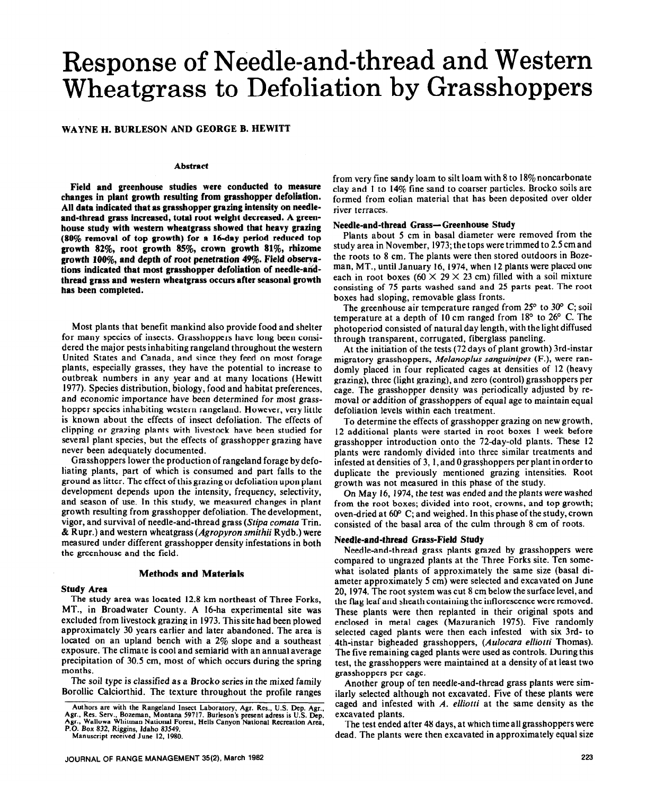# Response of Needle-and-thread and Western Wheatgrass to Defoliation by Grasshoppers

# WAYNE H. BURLESON AND GEORGE B. HEWITT

#### **Abstract**

**Field and greenhouse studies were conducted to. measure changes in plant growth resulting from grasshopper defoliation. All data indicated that as grasshopper grazing intensity on needleand-thread grass increased, total root weight decreased. A greenhouse study with western wheatgrass showed that heavy grazing (80% removal of top growth) for a 16-day period reduced top growth 82%, root growth 85%, crown growth 81%, rhizome growth 180%, and depth of root penetration 4%. Field obserrations indicated that most grasshopper defoliation of needle-andthread grass and western wheatgrass occurs after seasonal growth has been completed.** 

Most plants that benefit mankind also provide food and shelter for many species of insects. Grasshoppers have long been considered the major pests inhabiting rangeland throughout the western United States and Canada, and since they feed on most forage plants, especially grasses, they have the potential to increase to outbreak numbers in any year and at many locations (Hewitt 1977). Species distribution, biology, food and habitat preferences, and economic importance have been determined for most grasshopper species inhabiting western rangeland. However, very little is known about the effects of insect defoliation. The effects of clipping or grazing plants with livestock have been studied for several plant species, but the effects of grasshopper grazing have never been adequately documented.

Grasshoppers lower the production of rangeland forage bydefohating plants, part of which is consumed and part falls to the ground as litter. The effect of this grazing or defoliation upon plant development depends upon the intensity, frequency, selectivity, and season of use. In this study, we measured changes in plant growth resulting from grasshopper defoliation. The development, vigor, and survival of needle-and-thread grass (Stipa comata Trin. & Rupr.) and western wheatgrass (Agropyron *smithii* Rydb.) were measured under different grasshopper density infestations in both the greenhouse and the field.

#### **Methods and Materials**

#### **Study Area**

The study area was located 12.8 km northeast of Three Forks, MT., in Broadwater County. A 16-ha experimental site was excluded from livestock grazing in 1973. This site had been plowed approximately 30 years earlier and later abandoned. The area is located on an upland bench with a 2% slope and a southeast exposure. The climate is cool and semiarid with an annual average precipitation of 30.5 cm, most of which occurs during the spring months.

The soil type is classified as a Brocko series in the mixed family Borollic Calciorthid. The, texture throughout the profile ranges

**Manuscript received June 12, 1980.** 

from very fine sandy loam to silt loam with 8 to 18% noncarbonate clay and 1 to 14% fine sand to coarser particles. Brocko soils are formed from eolian material that has been deposited over older river terraces.

### **Needle-and-thread Grass-Greenhouse Study**

Plants about 5 cm in basal diameter were removed from the study area in November, 1973; the tops were trimmed to 2.5 cm and the roots to 8 cm. The plants were then stored outdoors in Bozeman, MT., until January 16, 1974, when 12 plants were placed one each in root boxes (60  $\times$  29  $\times$  23 cm) filled with a soil mixture consisting of 75 parts washed sand and 25 parts peat. The root boxes had sloping, removable glass fronts.

The greenhouse air temperature ranged from  $25^{\circ}$  to  $30^{\circ}$  C; soil temperature at a depth of 10 cm ranged from  $18^{\circ}$  to  $26^{\circ}$  C. The photoperiod consisted of natural day length, with the light diffused through transparent, corrugated, fiberglass paneling.

At the initiation of the tests (72 days of plant growth) 3rd-instar migratory grasshoppers, *Melanopfus sanguinipes* (F.), were randomly placed in four replicated cages at densities of 12 (heavy grazing), three (light grazing), and zero (control) grasshoppers per cage. The grasshopper density was periodically adjusted by removal or addition of grasshoppers of equal age to maintain equal defoliation levels within each treatment.

To determine the effects of grasshopper grazing on new growth, 12 additional plants were started in root boxes 1 week before grasshopper introduction onto the 72-day-old plants. These 12 plants were randomly divided into three similar treatments and infested at densities of 3, 1, and 0 grasshoppers per plant in order to duplicate the previously mentioned grazing intensities. Root growth was not measured in this phase of the study.

On May 16, 1974, the test was ended and the plants were washed from the root boxes; divided into root, crowns, and top growth; oven-dried at  $60^{\circ}$  C; and weighed. In this phase of the study, crown consisted of the basal area of the culm through 8 cm of roots.

## **Needle-and-thread Grass-Field Study**

Needle-and-thread grass plants grazed by grasshoppers were compared to ungrazed plants at the Three Forks site. Ten somewhat isolated plants of approximately the same size (basal diameter approximately 5 cm) were selected and excavated on June 20, 1974. The root system was cut 8 cm below the surface level, and the flag leaf and sheath containing the inflorescence were removed. These plants were then replanted in their original spots and enclosed in metal cages (Mazuranich 1975). Five randomly selected caged plants were then each infested with six 3rd- to rlth-instar bigheaded grasshoppers, *(Aulocara elliotti* Thomas). The five remaining caged plants were used as controls. During this test, the grasshoppers were maintained at a density of at least two grasshoppers per cage.

Another group of ten needle-and-thread grass plants were similarly selected although not excavated. Five of these plants were caged and infested with *A. elliotti* at the same density as the excavated plants.

The test ended after 48 days, at which time all grasshoppers were dead. The plants were then excavated in approximately equal size

Authors are with the Rangeland Insect Laboratory, Agr. Res., U.S. Dep. Agr., Agr.<br>Agr., Res. Serv., Bozeman, Montana 59717. Burleson's present adress is U.S. Dep.<br>Agr., Wallowa Whitman National Forest, Hells Canyon Nationa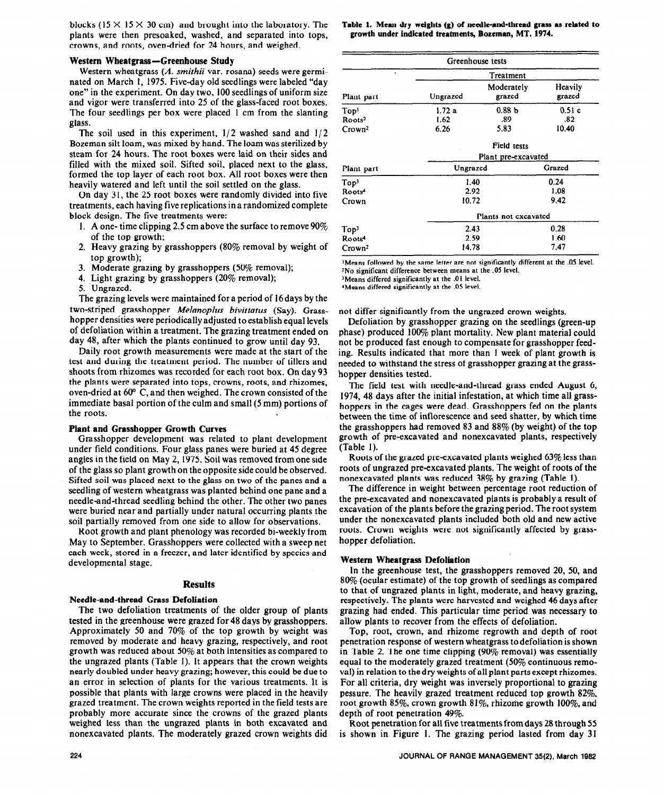blocks (15  $\times$  15  $\times$  30 cm) and brought into the laboratory. The plants were then presoaked, washed, and separated into tops, crowns, and roots, oven-dried for 24 hours, and weighed.

#### **Western Wheatgrass-Greenhouse Study**

Western wheatgrass (A. *smithii* var. rosana) seeds were germinated on March I, 1975. Five-day old seedlings were labeled "day one" in the experiment. On day two, 100 seedlings of uniform size and vigor were transferred into 25 of the glass-faced root boxes. The four seedlings per box were placed 1 cm from the slanting glass.

The soil used in this experiment,  $1/2$  washed sand and  $1/2$ Bozeman silt loam, was mixed by hand. The loam was sterilized by steam for 24 hours. The root boxes were laid on their sides and filled with the mixed soil. Sifted soil, placed next to the glass, formed the top layer of each root box. All root boxes were then heavily watered and left until the soil settled on the glass.

On day 31, the 25 root boxes were randomly divided into five treatments, each having five replications in a randomized complete block design. The five treatments were:

- 1. A one- time clipping 2.5 cm above the surface to remove  $90\%$ of the top growth;
- 2. Heavy grazing by grasshoppers (80% removal by weight of top growth);
- 3. Moderate grazing by grasshoppers (50% removal);
- 4. Light grazing by grasshoppers (20% removal);
- 5. Ungrazed.

The grazing levels were maintained for a period of 16 days by the two-striped grasshopper *Melanoplus bivittatus* (Say). Grasshopper densities were periodically adjusted to establish equal levels of defoliation within a treatment. The grazing treatment ended on day 48, after which the plants continued to grow until day 93.

Daily root growth measurements were made at the start of the test and during the treatment period. The number of tillers and shoots from rhizomes was recorded for each root box. On day 93 the plants were separated into tops, crowns, roots, and rhizomes, oven-dried at 60° C, and then weighed. The crown consisted of the immediate basal portion of the culm and small (5 mm) portions of the roots.

#### **Plant and Grasshopper Growth Curves**

Grasshopper development was related to plant development under field conditions. Four glass panes were buried at 45 degree angles in the field on May 2,1975. Soil was removed fromone side of the glass so plant growth on the opposite side could be observed. Sifted soil was placed next to the glass on two of the panes and a seedling of western wheatgrass was planted behind one pane and a needleand-thread seedling behind the other. The other two panes were buried near and partially under natural occurring plants the soil partially removed from one side to allow for observations.

Root growth and plant phenology was recorded bi-weekly from May to September. Grasshoppers were collected with a sweep net each week, stored in a freezer, and later identified by species and developmental stage.

#### **Results**

#### **Needle-and-thread Grass Defoliation**

**The** two defoliation treatments of the older group of plants tested in the greenhouse were grazed for 48 days by grasshoppers. Approximately 50 and 70% of the top growth by weight was removed by moderate and heavy grazing, respectively, and root growth was reduced about 50% at both intensities as compared to the ungrazed plants (Table 1). It appears that the crown weights nearly doubled under heavy grazing; however, this could be due to an error in selection of plants for the various treatments. It is possible that plants with large crowns were placed in the heavily grazed treatment. The crown weights reported in the field tests are probably more accurate since the crowns of the grazed plants weighed less than the ungrazed plants in both excavated and nonexcavated plants. The moderately grazed crown weights did Table 1. Mean dry weights (g) of needle-and-thread grass as related to **growth under indicated** treatments, Bozeman, MT. 1974.

|                    |                      | Greenhouse tests     |                   |  |  |
|--------------------|----------------------|----------------------|-------------------|--|--|
| ٠                  | Treatment            |                      |                   |  |  |
| Plant part         | Ungrazed             | Moderately<br>grazed | Heavily<br>grazed |  |  |
| Top <sup>1</sup>   | 1.72a                | 0.88 <sub>b</sub>    | 0.51c             |  |  |
| Roots <sup>2</sup> | 1.62                 | .89                  | .82               |  |  |
| Crown <sup>2</sup> | 6.26                 | 5.83                 | 10.40             |  |  |
|                    | Field tests          |                      |                   |  |  |
|                    | Plant pre-excavated  |                      |                   |  |  |
| Plant part         | Ungrazed             |                      | Grazed            |  |  |
| Top <sup>3</sup>   | 1.40                 |                      | 0.24              |  |  |
| Roots <sup>4</sup> | 2.92                 |                      | 1.08              |  |  |
| Crown              | 10.72                |                      | 9.42              |  |  |
|                    | Plants not excavated |                      |                   |  |  |
| Top <sup>3</sup>   | 2.43                 |                      | 0.28              |  |  |
| Roots <sup>4</sup> | 2.59                 |                      | 1.60              |  |  |
| Crown <sup>2</sup> | 14.78                |                      | 7.47              |  |  |

'Means **followed by the same letter are not significantly different at the .OS level. 2No significant difference between means at the .05 level.** 

**'Means differed significantly at the .OI level.** 

**Weans differed significantly at the .05 level.** 

not differ significantly from the ungrazed crown weights.

Defoliation by grasshopper grazing on the seedlings (green-up phase) produced 10% plant mortality. New plant material could not be produced fast enough to compensate for grasshopper feeding. Results indicated that more than 1 week of plant growth is needed to withstand the stress of grasshopper grazing at the grasshopper densities tested.

The field test with needle-and-thread grass ended August 6, 1974, 48 days after the initial infestation, at which time all grasshoppers in the cages were dead. Grasshoppers fed on the plants between the time of inflorescence and seed shatter, by which time the grasshoppers had removed 83 and 88% (by weight) of the top growth of pre-excavated and nonexcavated plants, respectively (Table 1).

Roots of the grazed pre-excavated plants weighed 63% less than roots of ungrazed pre-excavated plants. The weight of roots of the nonexcavated plants was reduced 38% by grazing (Table I).

The difference in weight between percentage root reduction of the pre-excavated and nonexcavated plants is probably a result of excavation of the plants before the grazing period. The root system under the nonexcavated plants included both old and new active roots. Crown weights were not significantly affected by grasshopper defoliation.

#### **Western Wheatgrass Defoliation**

In the greenhouse test, the grasshoppers removed 20, 50, and 80% (ocular estimate) of the top growth of seedlings as compared to that of ungrazed plants in light, moderate, and heavy grazing, respectively. The plants were harvested and weighed 46 days after grazing had ended. This particular time period was necessary to allow plants to recover from the effects of defoliation.

Top, root, crown, and rhizome regrowth and depth of root penetration response of western wheatgrass to defoliation is shown in Table 2. The one time clipping (90% removal) was essentially equal to the moderately grazed treatment (50% continuous removal) in relation to the dry weights of all plant parts except rhizomes. For all criteria, dry weight was inversely proportional to grazing pessure. The heavily grazed treatment reduced top growth 82%, root growth 85%, crown growth 81%, rhizome growth 100%, and depth of root penetration 49%.

Root penetration for all five treatmentsfromdays 28 through 55 is shown in Figure I. The grazing period lasted from day 31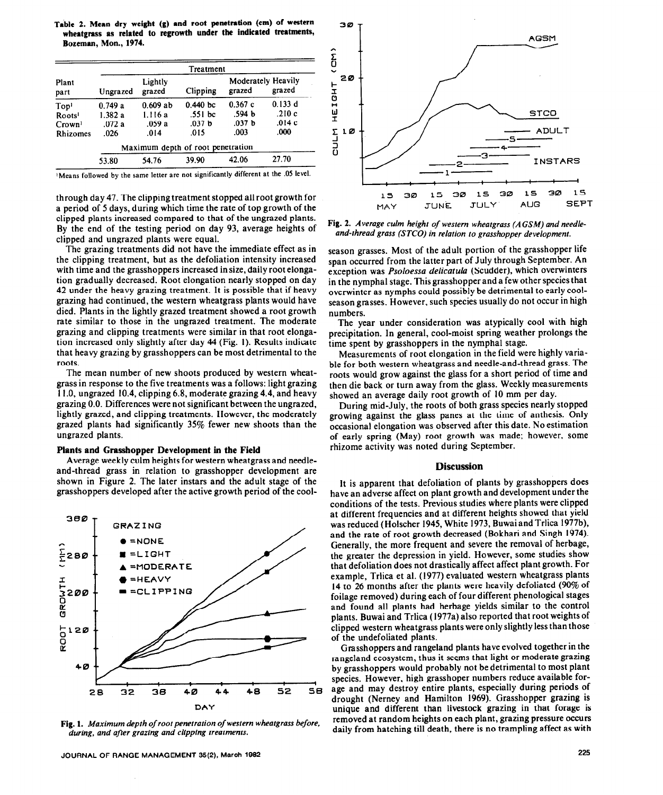**Table 2. Mean dry weight (g) and root penetration (cm) of western wheatgrass as related to regrowth under tbe indicated treatments, Bozeman, Mon., 1974.** 

|                    | Treatment                     |            |                                   |                                     |          |  |
|--------------------|-------------------------------|------------|-----------------------------------|-------------------------------------|----------|--|
| Plant<br>part      | Lightly<br>grazed<br>Ungrazed |            | Clipping                          | <b>Moderately Heavily</b><br>grazed | grazed   |  |
| Top <sup>1</sup>   | 0.749a                        | $0.609$ ab | 0.440 <sub>bc</sub>               | 0.367c                              | 0.133 d  |  |
| Roots <sup>1</sup> | 1.382 a                       | 1.116 a    | .551 bc                           | .594 b                              | .210 $c$ |  |
| Crown <sup>1</sup> | .072a                         | .059 a     | .037 <sub>b</sub>                 | .037 <sub>b</sub>                   | .014c    |  |
| <b>Rhizomes</b>    | .026                          | .014       | .015                              | .003                                | .000     |  |
|                    |                               |            | Maximum depth of root penetration |                                     |          |  |
|                    | 53.80                         | 54.76      | 39.90                             | 42.06                               | 27.70    |  |

**'Means followed by the same letter are not significantly different at the .05 level.** 

through day 47. The clipping treatment stopped all root growth for a period of 5 days, during which time the rate of top growth of the clipped plants increased compared to that of the ungrazed plants. By the end of the testing period on day 93, average heights of clipped and ungrazed plants were equal.

The grazing treatments did not have the immediate effect as in the clipping treatment, but as the defoliation intensity increased with time and the grasshoppers increased in size, daily root elongation gradually decreased. Root elongation nearly stopped on day 42 under the heavy grazing treatment. It is possible that if heavy grazing had continued, the western wheatgrass plants would have died. Plants in the lightly grazed treatment showed a root growth rate similar to those in the ungrazed treatment. The moderate grazing and clipping treatments were similar in that root elongation increased only slightly after day 44 (Fig. I). Results indicate that heavy grazing by grasshoppers can be most detrimental to the roots.

The mean number of new shoots produced by western wheatgrass in response to the five treatments was a follows: light grazing I 1.0, ungrazed 10.4, clipping 6.8, moderate grazing 4.4, and heavy grazing 0.0. Differences were not significant between the ungrazed, lightly grazed, and clipping treatments. However, the moderately grazed plants had significantly 35% fewer new shoots than the ungrazed plants.

#### **Plants and Grasshopper Development in the Field**

Average weekly culm heights for western wheatgrass and needleand-thread grass in relation to grasshopper development are shown in Figure 2. The later instars and the adult stage of the grasshoppers developed after the active growth period of the cool-



Fig. 1. Maximum depth of root penetration of western wheatgrass before, *during, and after* **grazing** *and clipping treatments.* 



**Fig. 2. Average** *culm height of western wheatgross (A* **GSM) and** *needleand-thread grass (STCO) in relation to grasshopper development.* 

season grasses. Most of the adult portion of the grasshopper life span occurred from the latter part of July through September. An exception was *Psoloessa delicatula* (Scudder), which overwinters in the nymphal stage. This grasshopper and a few other species that overwinter as nymphs could possibly be detrimental to early coolseason grasses. However, such species usually do not occur in high numbers.

The year under consideration was atypically cool with high precipitation. In general, cool-moist spring weather prolongs the time spent by grasshoppers in the nymphal stage.

Measurements of root elongation in the field were highly variable for both western wheatgrass and needle-and-thread grass. The roots would grow against the glass for a short period of time and then die back or turn away from the glass. Weekly measurements showed an average daily root growth of 10 mm per day.

During mid-July, the roots of both grass species nearly stopped growing against the glass panes at the time of anthesis. Only occasional elongation was observed after this date. No estimation of early spring (May) root growth was made; however, some rhizome activity was noted during September.

#### **Discussion**

It is apparent that defoliation of plants by grasshoppers does have an adverse affect on plant growth and development under the conditions of the tests. Previous studies where plants were clipped at different frequencies and at different heights showed that yield was reduced (Holscher 1945, White 1973, Buwai and Trlica 1977b), and the rate of root growth decreased (Bokhari and Singh 1974). Generally, the more frequent and severe the removal of herbage, the greater the depression in yield. However, some studies show that defoliation does not drastically affect affect plant growth. For example, Trlica et al. (1977) evaluated western wheatgrass plants 14 to 26 months after the plants were heavily defoliated (90% of foilage removed) during each of four different phenological stages and found all plants had herbage yields similar to the control plants. Buwai and Trlica (1977a) also reported that root weights of clipped western wheatgrass plants were only slightly less than those of the undefoliated plants.

Grasshoppers and rangeland plants have evolved together in the rangeland ecosystem, thus it seems that light or moderate grazing by grasshoppers would probably not be detrimental to most plant species. However, high grasshoper numbers reduce available forage and may destroy entire plants, especially during periods of drought (Nerney and Hamilton 1969). Grasshopper grazing is unique and different than livestock grazing in that forage is removed at random heights on each plant, grazing pressure occurs daily from hatching till death, there is no trampling affect as with